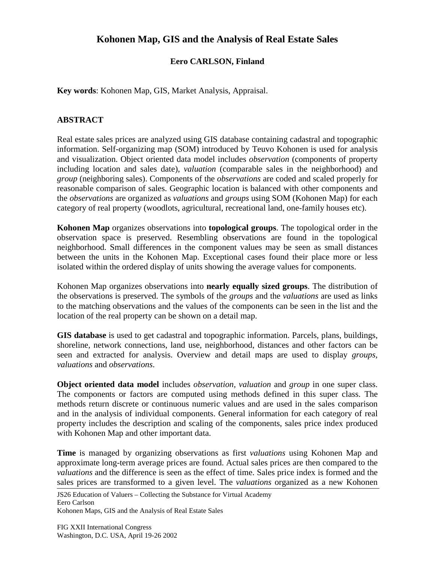## **Kohonen Map, GIS and the Analysis of Real Estate Sales**

## **Eero CARLSON, Finland**

**Key words**: Kohonen Map, GIS, Market Analysis, Appraisal.

## **ABSTRACT**

Real estate sales prices are analyzed using GIS database containing cadastral and topographic information. Self-organizing map (SOM) introduced by Teuvo Kohonen is used for analysis and visualization. Object oriented data model includes *observation* (components of property including location and sales date), *valuation* (comparable sales in the neighborhood) and *group* (neighboring sales). Components of the *observations* are coded and scaled properly for reasonable comparison of sales. Geographic location is balanced with other components and the *observations* are organized as *valuations* and *groups* using SOM (Kohonen Map) for each category of real property (woodlots, agricultural, recreational land, one-family houses etc).

**Kohonen Map** organizes observations into **topological groups**. The topological order in the observation space is preserved. Resembling observations are found in the topological neighborhood. Small differences in the component values may be seen as small distances between the units in the Kohonen Map. Exceptional cases found their place more or less isolated within the ordered display of units showing the average values for components.

Kohonen Map organizes observations into **nearly equally sized groups**. The distribution of the observations is preserved. The symbols of the *groups* and the *valuations* are used as links to the matching observations and the values of the components can be seen in the list and the location of the real property can be shown on a detail map.

**GIS database** is used to get cadastral and topographic information. Parcels, plans, buildings, shoreline, network connections, land use, neighborhood, distances and other factors can be seen and extracted for analysis. Overview and detail maps are used to display *groups, valuations* and *observations*.

**Object oriented data model** includes *observation, valuation* and *group* in one super class. The components or factors are computed using methods defined in this super class. The methods return discrete or continuous numeric values and are used in the sales comparison and in the analysis of individual components. General information for each category of real property includes the description and scaling of the components, sales price index produced with Kohonen Map and other important data.

**Time** is managed by organizing observations as first *valuations* using Kohonen Map and approximate long-term average prices are found. Actual sales prices are then compared to the *valuations* and the difference is seen as the effect of time. Sales price index is formed and the sales prices are transformed to a given level. The *valuations* organized as a new Kohonen

JS26 Education of Valuers – Collecting the Substance for Virtual Academy Eero Carlson

Kohonen Maps, GIS and the Analysis of Real Estate Sales